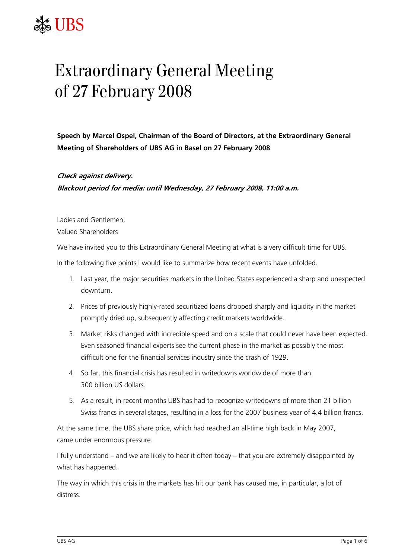## LIBS

## Extraordinary General Meeting of 27 February 2008

**Speech by Marcel Ospel, Chairman of the Board of Directors, at the Extraordinary General Meeting of Shareholders of UBS AG in Basel on 27 February 2008** 

**Check against delivery. Blackout period for media: until Wednesday, 27 February 2008, 11:00 a.m.** 

Ladies and Gentlemen, Valued Shareholders

We have invited you to this Extraordinary General Meeting at what is a very difficult time for UBS.

In the following five points I would like to summarize how recent events have unfolded.

- 1. Last year, the major securities markets in the United States experienced a sharp and unexpected downturn.
- 2. Prices of previously highly-rated securitized loans dropped sharply and liquidity in the market promptly dried up, subsequently affecting credit markets worldwide.
- 3. Market risks changed with incredible speed and on a scale that could never have been expected. Even seasoned financial experts see the current phase in the market as possibly the most difficult one for the financial services industry since the crash of 1929.
- 4. So far, this financial crisis has resulted in writedowns worldwide of more than 300 billion US dollars.
- 5. As a result, in recent months UBS has had to recognize writedowns of more than 21 billion Swiss francs in several stages, resulting in a loss for the 2007 business year of 4.4 billion francs.

At the same time, the UBS share price, which had reached an all-time high back in May 2007, came under enormous pressure.

I fully understand – and we are likely to hear it often today – that you are extremely disappointed by what has happened.

The way in which this crisis in the markets has hit our bank has caused me, in particular, a lot of distress.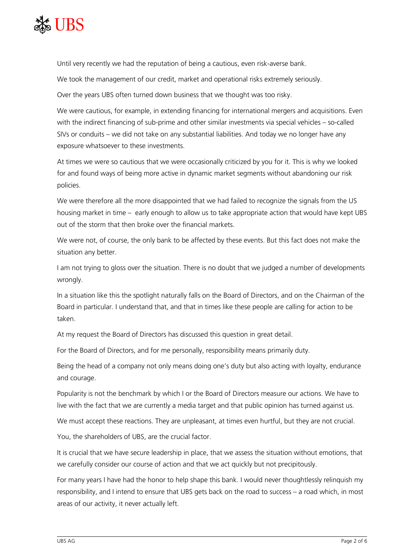

Until very recently we had the reputation of being a cautious, even risk-averse bank.

We took the management of our credit, market and operational risks extremely seriously.

Over the years UBS often turned down business that we thought was too risky.

We were cautious, for example, in extending financing for international mergers and acquisitions. Even with the indirect financing of sub-prime and other similar investments via special vehicles – so-called SIVs or conduits – we did not take on any substantial liabilities. And today we no longer have any exposure whatsoever to these investments.

At times we were so cautious that we were occasionally criticized by you for it. This is why we looked for and found ways of being more active in dynamic market segments without abandoning our risk policies.

We were therefore all the more disappointed that we had failed to recognize the signals from the US housing market in time – early enough to allow us to take appropriate action that would have kept UBS out of the storm that then broke over the financial markets.

We were not, of course, the only bank to be affected by these events. But this fact does not make the situation any better.

I am not trying to gloss over the situation. There is no doubt that we judged a number of developments wrongly.

In a situation like this the spotlight naturally falls on the Board of Directors, and on the Chairman of the Board in particular. I understand that, and that in times like these people are calling for action to be taken.

At my request the Board of Directors has discussed this question in great detail.

For the Board of Directors, and for me personally, responsibility means primarily duty.

Being the head of a company not only means doing one's duty but also acting with loyalty, endurance and courage.

Popularity is not the benchmark by which I or the Board of Directors measure our actions. We have to live with the fact that we are currently a media target and that public opinion has turned against us.

We must accept these reactions. They are unpleasant, at times even hurtful, but they are not crucial.

You, the shareholders of UBS, are the crucial factor.

It is crucial that we have secure leadership in place, that we assess the situation without emotions, that we carefully consider our course of action and that we act quickly but not precipitously.

For many years I have had the honor to help shape this bank. I would never thoughtlessly relinquish my responsibility, and I intend to ensure that UBS gets back on the road to success – a road which, in most areas of our activity, it never actually left.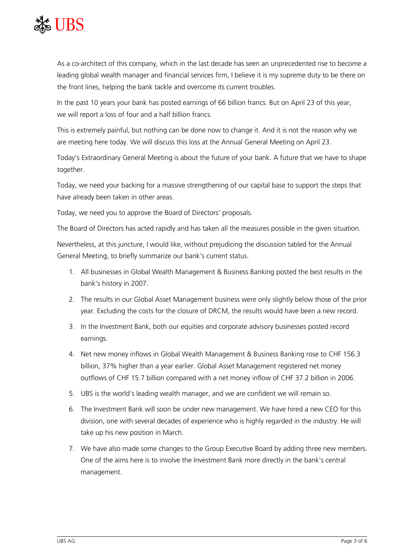

As a co-architect of this company, which in the last decade has seen an unprecedented rise to become a leading global wealth manager and financial services firm, I believe it is my supreme duty to be there on the front lines, helping the bank tackle and overcome its current troubles.

In the past 10 years your bank has posted earnings of 66 billion francs. But on April 23 of this year, we will report a loss of four and a half billion francs.

This is extremely painful, but nothing can be done now to change it. And it is not the reason why we are meeting here today. We will discuss this loss at the Annual General Meeting on April 23.

Today's Extraordinary General Meeting is about the future of your bank. A future that we have to shape together.

Today, we need your backing for a massive strengthening of our capital base to support the steps that have already been taken in other areas.

Today, we need you to approve the Board of Directors' proposals.

The Board of Directors has acted rapidly and has taken all the measures possible in the given situation.

Nevertheless, at this juncture, I would like, without prejudicing the discussion tabled for the Annual General Meeting, to briefly summarize our bank's current status.

- 1. All businesses in Global Wealth Management & Business Banking posted the best results in the bank's history in 2007.
- 2. The results in our Global Asset Management business were only slightly below those of the prior year. Excluding the costs for the closure of DRCM, the results would have been a new record.
- 3. In the Investment Bank, both our equities and corporate advisory businesses posted record earnings.
- 4. Net new money inflows in Global Wealth Management & Business Banking rose to CHF 156.3 billion, 37% higher than a year earlier. Global Asset Management registered net money outflows of CHF 15.7 billion compared with a net money inflow of CHF 37.2 billion in 2006.
- 5. UBS is the world's leading wealth manager, and we are confident we will remain so.
- 6. The Investment Bank will soon be under new management. We have hired a new CEO for this division, one with several decades of experience who is highly regarded in the industry. He will take up his new position in March.
- 7. We have also made some changes to the Group Executive Board by adding three new members. One of the aims here is to involve the Investment Bank more directly in the bank's central management.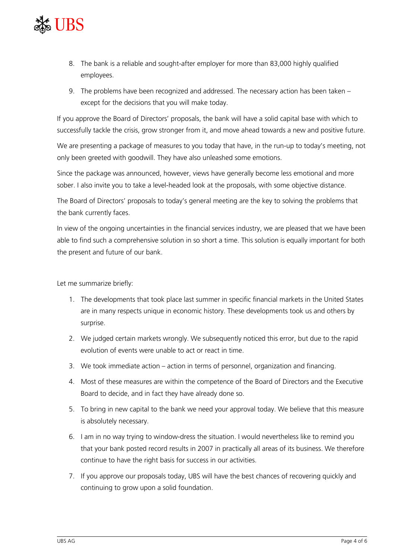

- 8. The bank is a reliable and sought-after employer for more than 83,000 highly qualified employees.
- 9. The problems have been recognized and addressed. The necessary action has been taken except for the decisions that you will make today.

If you approve the Board of Directors' proposals, the bank will have a solid capital base with which to successfully tackle the crisis, grow stronger from it, and move ahead towards a new and positive future.

We are presenting a package of measures to you today that have, in the run-up to today's meeting, not only been greeted with goodwill. They have also unleashed some emotions.

Since the package was announced, however, views have generally become less emotional and more sober. I also invite you to take a level-headed look at the proposals, with some objective distance.

The Board of Directors' proposals to today's general meeting are the key to solving the problems that the bank currently faces.

In view of the ongoing uncertainties in the financial services industry, we are pleased that we have been able to find such a comprehensive solution in so short a time. This solution is equally important for both the present and future of our bank.

Let me summarize briefly:

- 1. The developments that took place last summer in specific financial markets in the United States are in many respects unique in economic history. These developments took us and others by surprise.
- 2. We judged certain markets wrongly. We subsequently noticed this error, but due to the rapid evolution of events were unable to act or react in time.
- 3. We took immediate action action in terms of personnel, organization and financing.
- 4. Most of these measures are within the competence of the Board of Directors and the Executive Board to decide, and in fact they have already done so.
- 5. To bring in new capital to the bank we need your approval today. We believe that this measure is absolutely necessary.
- 6. I am in no way trying to window-dress the situation. I would nevertheless like to remind you that your bank posted record results in 2007 in practically all areas of its business. We therefore continue to have the right basis for success in our activities.
- 7. If you approve our proposals today, UBS will have the best chances of recovering quickly and continuing to grow upon a solid foundation.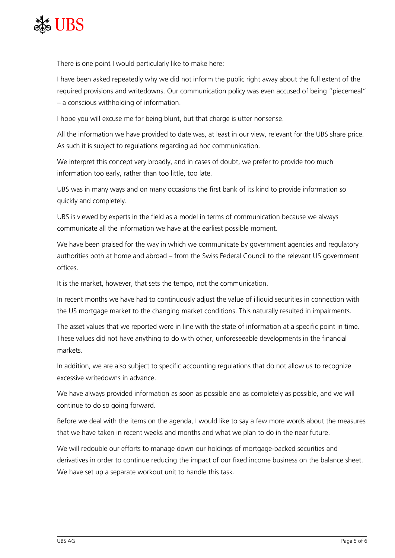

There is one point I would particularly like to make here:

I have been asked repeatedly why we did not inform the public right away about the full extent of the required provisions and writedowns. Our communication policy was even accused of being "piecemeal" – a conscious withholding of information.

I hope you will excuse me for being blunt, but that charge is utter nonsense.

All the information we have provided to date was, at least in our view, relevant for the UBS share price. As such it is subject to regulations regarding ad hoc communication.

We interpret this concept very broadly, and in cases of doubt, we prefer to provide too much information too early, rather than too little, too late.

UBS was in many ways and on many occasions the first bank of its kind to provide information so quickly and completely.

UBS is viewed by experts in the field as a model in terms of communication because we always communicate all the information we have at the earliest possible moment.

We have been praised for the way in which we communicate by government agencies and regulatory authorities both at home and abroad – from the Swiss Federal Council to the relevant US government offices.

It is the market, however, that sets the tempo, not the communication.

In recent months we have had to continuously adjust the value of illiquid securities in connection with the US mortgage market to the changing market conditions. This naturally resulted in impairments.

The asset values that we reported were in line with the state of information at a specific point in time. These values did not have anything to do with other, unforeseeable developments in the financial markets.

In addition, we are also subject to specific accounting regulations that do not allow us to recognize excessive writedowns in advance.

We have always provided information as soon as possible and as completely as possible, and we will continue to do so going forward.

Before we deal with the items on the agenda, I would like to say a few more words about the measures that we have taken in recent weeks and months and what we plan to do in the near future.

We will redouble our efforts to manage down our holdings of mortgage-backed securities and derivatives in order to continue reducing the impact of our fixed income business on the balance sheet. We have set up a separate workout unit to handle this task.